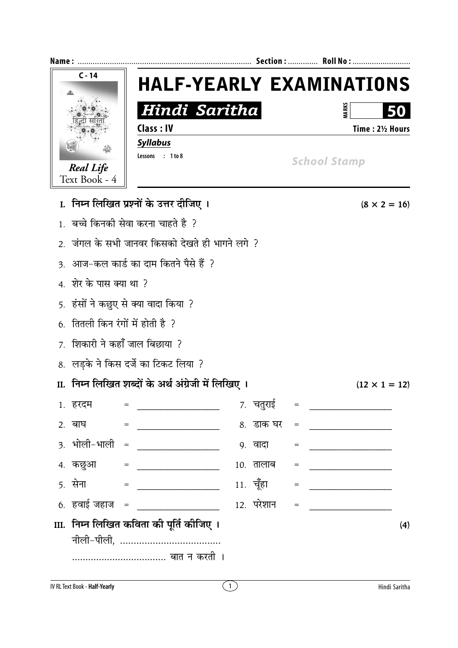| Name:                                  | Section :     Roll No :                              |            |                                   |                                                                                                                                                                                                                                                                                                                                                                                                                                                                                                                       |  |
|----------------------------------------|------------------------------------------------------|------------|-----------------------------------|-----------------------------------------------------------------------------------------------------------------------------------------------------------------------------------------------------------------------------------------------------------------------------------------------------------------------------------------------------------------------------------------------------------------------------------------------------------------------------------------------------------------------|--|
| $C - 14$                               |                                                      |            |                                   | <b>HALF-YEARLY EXAMINATIONS</b>                                                                                                                                                                                                                                                                                                                                                                                                                                                                                       |  |
|                                        | Hindi Saritha                                        |            |                                   | <b>VARK</b><br>50                                                                                                                                                                                                                                                                                                                                                                                                                                                                                                     |  |
|                                        | <b>Class: IV</b>                                     |            |                                   | Time: 21/2 Hours                                                                                                                                                                                                                                                                                                                                                                                                                                                                                                      |  |
|                                        | <b>Syllabus</b>                                      |            |                                   |                                                                                                                                                                                                                                                                                                                                                                                                                                                                                                                       |  |
| <b>Real Life</b>                       | Lessons : 1 to 8                                     |            |                                   | <b>School Stamp</b>                                                                                                                                                                                                                                                                                                                                                                                                                                                                                                   |  |
| Text Book - 4                          |                                                      |            |                                   |                                                                                                                                                                                                                                                                                                                                                                                                                                                                                                                       |  |
|                                        | I. निम्न लिखित प्रश्नों के उत्तर दीजिए ।             |            |                                   | $(8 \times 2 = 16)$                                                                                                                                                                                                                                                                                                                                                                                                                                                                                                   |  |
|                                        | 1.  बच्चे किनकी सेवा करना चाहते है  ?                |            |                                   |                                                                                                                                                                                                                                                                                                                                                                                                                                                                                                                       |  |
|                                        | 2.  जंगल के सभी जानवर किसको देखते ही भागने लगे  ?    |            |                                   |                                                                                                                                                                                                                                                                                                                                                                                                                                                                                                                       |  |
|                                        | 3.  आज–कल कार्ड का दाम कितने पैसे हैं  ?             |            |                                   |                                                                                                                                                                                                                                                                                                                                                                                                                                                                                                                       |  |
| 4. शेर के पास क्या था ?                |                                                      |            |                                   |                                                                                                                                                                                                                                                                                                                                                                                                                                                                                                                       |  |
| 5.  हंसों ने कछुए से क्या वादा किया  ? |                                                      |            |                                   |                                                                                                                                                                                                                                                                                                                                                                                                                                                                                                                       |  |
| 6. तितली किन रंगों में होती है ?       |                                                      |            |                                   |                                                                                                                                                                                                                                                                                                                                                                                                                                                                                                                       |  |
| 7. शिकारी ने कहाँ जाल बिछाया ?         |                                                      |            |                                   |                                                                                                                                                                                                                                                                                                                                                                                                                                                                                                                       |  |
|                                        | 8. लड़के ने किस दर्जे का टिकट लिया ?                 |            |                                   |                                                                                                                                                                                                                                                                                                                                                                                                                                                                                                                       |  |
|                                        | II.  निम्न लिखित शब्दों के अर्थ अंग्रेजी में लिखिए । |            |                                   | $(12 \times 1 = 12)$                                                                                                                                                                                                                                                                                                                                                                                                                                                                                                  |  |
| 1. हरदम                                |                                                      | 7. चतुराई  |                                   | $\begin{aligned} \mathcal{L}_{\text{max}} = \mathcal{L}_{\text{max}} = \mathcal{L}_{\text{max}} = \mathcal{L}_{\text{max}} = \mathcal{L}_{\text{max}} = \mathcal{L}_{\text{max}} = \mathcal{L}_{\text{max}} = \mathcal{L}_{\text{max}} = \mathcal{L}_{\text{max}} = \mathcal{L}_{\text{max}} = \mathcal{L}_{\text{max}} = \mathcal{L}_{\text{max}} = \mathcal{L}_{\text{max}} = \mathcal{L}_{\text{max}} = \mathcal{L}_{\text{max}} = \mathcal{L}_{\text{max}} = \mathcal{L}_{\text{max}} = \mathcal{L}_{\text{max}}$ |  |
| 2. बाघ                                 |                                                      | 8. डाक घर  |                                   |                                                                                                                                                                                                                                                                                                                                                                                                                                                                                                                       |  |
|                                        | 3. भोली-भाली = _______________                       | ९. वादा    | $=$                               |                                                                                                                                                                                                                                                                                                                                                                                                                                                                                                                       |  |
|                                        | 4. कछुआ = ______________                             | 10. तालाब  | $\hspace{1.6cm} = \hspace{1.6cm}$ | <u> 1980 - Johann Barn, mars andrew Maria (</u>                                                                                                                                                                                                                                                                                                                                                                                                                                                                       |  |
|                                        |                                                      | 11. चूँहा  | $=$                               |                                                                                                                                                                                                                                                                                                                                                                                                                                                                                                                       |  |
|                                        | 6. हवाई जहाज = ________________                      | 12. परेशान |                                   |                                                                                                                                                                                                                                                                                                                                                                                                                                                                                                                       |  |
|                                        | III.  निम्न लिखित कविता की पूर्ति कीजिए ।            |            |                                   | (4)                                                                                                                                                                                                                                                                                                                                                                                                                                                                                                                   |  |
|                                        |                                                      |            |                                   |                                                                                                                                                                                                                                                                                                                                                                                                                                                                                                                       |  |
|                                        | बात न करती ।                                         |            |                                   |                                                                                                                                                                                                                                                                                                                                                                                                                                                                                                                       |  |
|                                        |                                                      |            |                                   |                                                                                                                                                                                                                                                                                                                                                                                                                                                                                                                       |  |